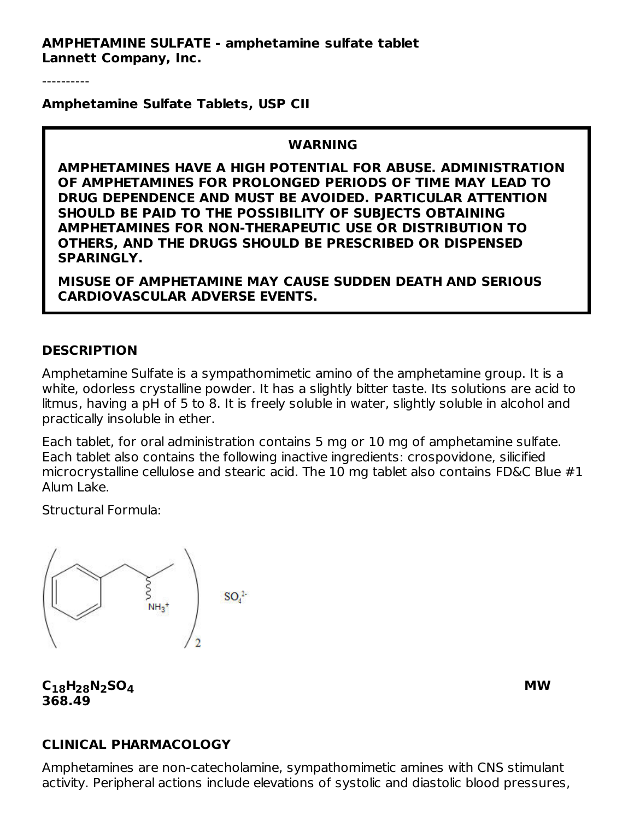**AMPHETAMINE SULFATE - amphetamine sulfate tablet Lannett Company, Inc.**

----------

**Amphetamine Sulfate Tablets, USP CII**

#### **WARNING**

**AMPHETAMINES HAVE A HIGH POTENTIAL FOR ABUSE. ADMINISTRATION OF AMPHETAMINES FOR PROLONGED PERIODS OF TIME MAY LEAD TO DRUG DEPENDENCE AND MUST BE AVOIDED. PARTICULAR ATTENTION SHOULD BE PAID TO THE POSSIBILITY OF SUBJECTS OBTAINING AMPHETAMINES FOR NON-THERAPEUTIC USE OR DISTRIBUTION TO OTHERS, AND THE DRUGS SHOULD BE PRESCRIBED OR DISPENSED SPARINGLY.**

**MISUSE OF AMPHETAMINE MAY CAUSE SUDDEN DEATH AND SERIOUS CARDIOVASCULAR ADVERSE EVENTS.**

#### **DESCRIPTION**

Amphetamine Sulfate is a sympathomimetic amino of the amphetamine group. It is a white, odorless crystalline powder. It has a slightly bitter taste. Its solutions are acid to litmus, having a pH of 5 to 8. It is freely soluble in water, slightly soluble in alcohol and practically insoluble in ether.

Each tablet, for oral administration contains 5 mg or 10 mg of amphetamine sulfate. Each tablet also contains the following inactive ingredients: crospovidone, silicified microcrystalline cellulose and stearic acid. The 10 mg tablet also contains FD&C Blue #1 Alum Lake.

Structural Formula:



 $\mathsf{C}_{18}\mathsf{H}_{28}\mathsf{N}_{2}\mathsf{SO}_{4}$  **MW 368.49**

#### **CLINICAL PHARMACOLOGY**

Amphetamines are non-catecholamine, sympathomimetic amines with CNS stimulant activity. Peripheral actions include elevations of systolic and diastolic blood pressures,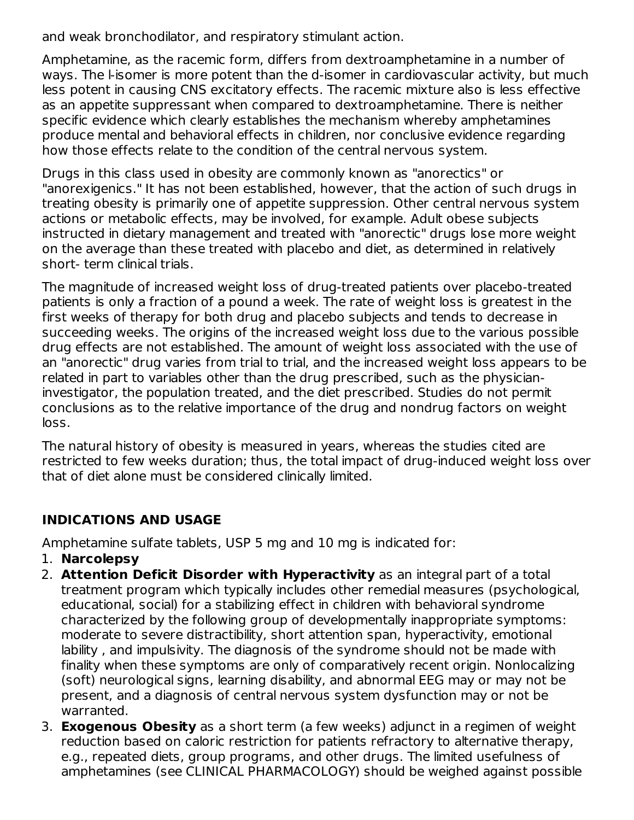and weak bronchodilator, and respiratory stimulant action.

Amphetamine, as the racemic form, differs from dextroamphetamine in a number of ways. The l-isomer is more potent than the d-isomer in cardiovascular activity, but much less potent in causing CNS excitatory effects. The racemic mixture also is less effective as an appetite suppressant when compared to dextroamphetamine. There is neither specific evidence which clearly establishes the mechanism whereby amphetamines produce mental and behavioral effects in children, nor conclusive evidence regarding how those effects relate to the condition of the central nervous system.

Drugs in this class used in obesity are commonly known as "anorectics" or "anorexigenics." It has not been established, however, that the action of such drugs in treating obesity is primarily one of appetite suppression. Other central nervous system actions or metabolic effects, may be involved, for example. Adult obese subjects instructed in dietary management and treated with "anorectic" drugs lose more weight on the average than these treated with placebo and diet, as determined in relatively short- term clinical trials.

The magnitude of increased weight loss of drug-treated patients over placebo-treated patients is only a fraction of a pound a week. The rate of weight loss is greatest in the first weeks of therapy for both drug and placebo subjects and tends to decrease in succeeding weeks. The origins of the increased weight loss due to the various possible drug effects are not established. The amount of weight loss associated with the use of an "anorectic" drug varies from trial to trial, and the increased weight loss appears to be related in part to variables other than the drug prescribed, such as the physicianinvestigator, the population treated, and the diet prescribed. Studies do not permit conclusions as to the relative importance of the drug and nondrug factors on weight loss.

The natural history of obesity is measured in years, whereas the studies cited are restricted to few weeks duration; thus, the total impact of drug-induced weight loss over that of diet alone must be considered clinically limited.

### **INDICATIONS AND USAGE**

Amphetamine sulfate tablets, USP 5 mg and 10 mg is indicated for:

- 1. **Narcolepsy**
- 2. **Attention Deficit Disorder with Hyperactivity** as an integral part of a total treatment program which typically includes other remedial measures (psychological, educational, social) for a stabilizing effect in children with behavioral syndrome characterized by the following group of developmentally inappropriate symptoms: moderate to severe distractibility, short attention span, hyperactivity, emotional lability , and impulsivity. The diagnosis of the syndrome should not be made with finality when these symptoms are only of comparatively recent origin. Nonlocalizing (soft) neurological signs, learning disability, and abnormal EEG may or may not be present, and a diagnosis of central nervous system dysfunction may or not be warranted.
- 3. **Exogenous Obesity** as a short term (a few weeks) adjunct in a regimen of weight reduction based on caloric restriction for patients refractory to alternative therapy, e.g., repeated diets, group programs, and other drugs. The limited usefulness of amphetamines (see CLINICAL PHARMACOLOGY) should be weighed against possible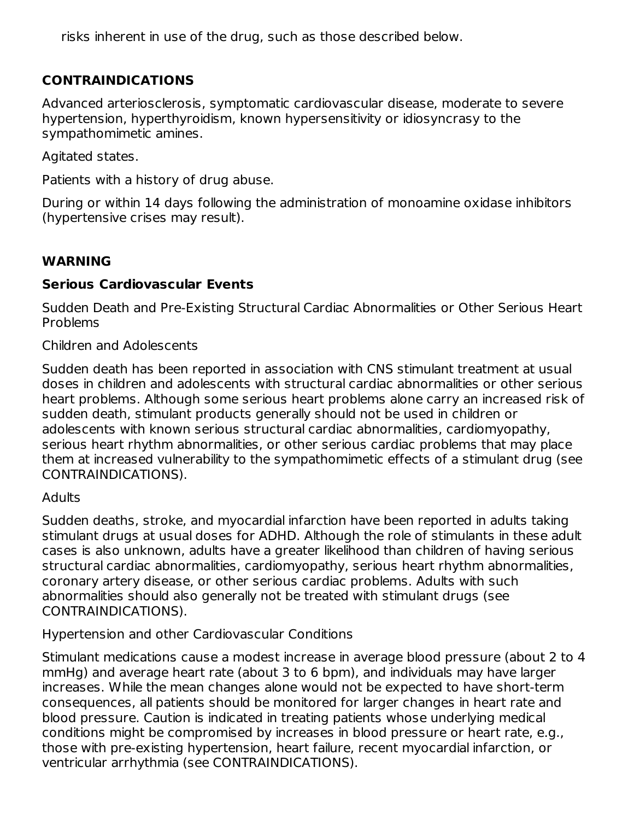risks inherent in use of the drug, such as those described below.

### **CONTRAINDICATIONS**

Advanced arteriosclerosis, symptomatic cardiovascular disease, moderate to severe hypertension, hyperthyroidism, known hypersensitivity or idiosyncrasy to the sympathomimetic amines.

Agitated states.

Patients with a history of drug abuse.

During or within 14 days following the administration of monoamine oxidase inhibitors (hypertensive crises may result).

#### **WARNING**

#### **Serious Cardiovascular Events**

Sudden Death and Pre-Existing Structural Cardiac Abnormalities or Other Serious Heart Problems

Children and Adolescents

Sudden death has been reported in association with CNS stimulant treatment at usual doses in children and adolescents with structural cardiac abnormalities or other serious heart problems. Although some serious heart problems alone carry an increased risk of sudden death, stimulant products generally should not be used in children or adolescents with known serious structural cardiac abnormalities, cardiomyopathy, serious heart rhythm abnormalities, or other serious cardiac problems that may place them at increased vulnerability to the sympathomimetic effects of a stimulant drug (see CONTRAINDICATIONS).

#### Adults

Sudden deaths, stroke, and myocardial infarction have been reported in adults taking stimulant drugs at usual doses for ADHD. Although the role of stimulants in these adult cases is also unknown, adults have a greater likelihood than children of having serious structural cardiac abnormalities, cardiomyopathy, serious heart rhythm abnormalities, coronary artery disease, or other serious cardiac problems. Adults with such abnormalities should also generally not be treated with stimulant drugs (see CONTRAINDICATIONS).

Hypertension and other Cardiovascular Conditions

Stimulant medications cause a modest increase in average blood pressure (about 2 to 4 mmHg) and average heart rate (about 3 to 6 bpm), and individuals may have larger increases. While the mean changes alone would not be expected to have short-term consequences, all patients should be monitored for larger changes in heart rate and blood pressure. Caution is indicated in treating patients whose underlying medical conditions might be compromised by increases in blood pressure or heart rate, e.g., those with pre-existing hypertension, heart failure, recent myocardial infarction, or ventricular arrhythmia (see CONTRAINDICATIONS).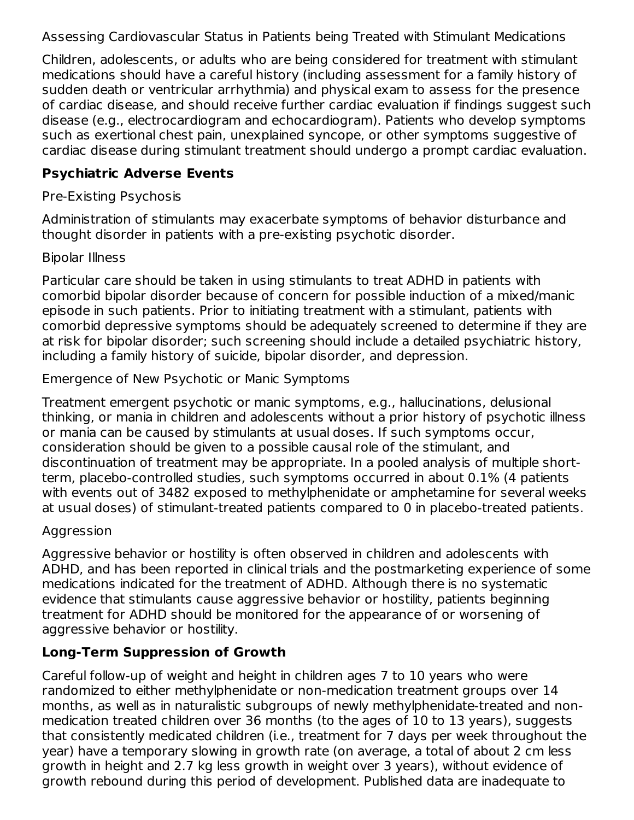Assessing Cardiovascular Status in Patients being Treated with Stimulant Medications

Children, adolescents, or adults who are being considered for treatment with stimulant medications should have a careful history (including assessment for a family history of sudden death or ventricular arrhythmia) and physical exam to assess for the presence of cardiac disease, and should receive further cardiac evaluation if findings suggest such disease (e.g., electrocardiogram and echocardiogram). Patients who develop symptoms such as exertional chest pain, unexplained syncope, or other symptoms suggestive of cardiac disease during stimulant treatment should undergo a prompt cardiac evaluation.

### **Psychiatric Adverse Events**

#### Pre-Existing Psychosis

Administration of stimulants may exacerbate symptoms of behavior disturbance and thought disorder in patients with a pre-existing psychotic disorder.

#### Bipolar Illness

Particular care should be taken in using stimulants to treat ADHD in patients with comorbid bipolar disorder because of concern for possible induction of a mixed/manic episode in such patients. Prior to initiating treatment with a stimulant, patients with comorbid depressive symptoms should be adequately screened to determine if they are at risk for bipolar disorder; such screening should include a detailed psychiatric history, including a family history of suicide, bipolar disorder, and depression.

Emergence of New Psychotic or Manic Symptoms

Treatment emergent psychotic or manic symptoms, e.g., hallucinations, delusional thinking, or mania in children and adolescents without a prior history of psychotic illness or mania can be caused by stimulants at usual doses. If such symptoms occur, consideration should be given to a possible causal role of the stimulant, and discontinuation of treatment may be appropriate. In a pooled analysis of multiple shortterm, placebo-controlled studies, such symptoms occurred in about 0.1% (4 patients with events out of 3482 exposed to methylphenidate or amphetamine for several weeks at usual doses) of stimulant-treated patients compared to 0 in placebo-treated patients.

### Aggression

Aggressive behavior or hostility is often observed in children and adolescents with ADHD, and has been reported in clinical trials and the postmarketing experience of some medications indicated for the treatment of ADHD. Although there is no systematic evidence that stimulants cause aggressive behavior or hostility, patients beginning treatment for ADHD should be monitored for the appearance of or worsening of aggressive behavior or hostility.

### **Long-Term Suppression of Growth**

Careful follow-up of weight and height in children ages 7 to 10 years who were randomized to either methylphenidate or non-medication treatment groups over 14 months, as well as in naturalistic subgroups of newly methylphenidate-treated and nonmedication treated children over 36 months (to the ages of 10 to 13 years), suggests that consistently medicated children (i.e., treatment for 7 days per week throughout the year) have a temporary slowing in growth rate (on average, a total of about 2 cm less growth in height and 2.7 kg less growth in weight over 3 years), without evidence of growth rebound during this period of development. Published data are inadequate to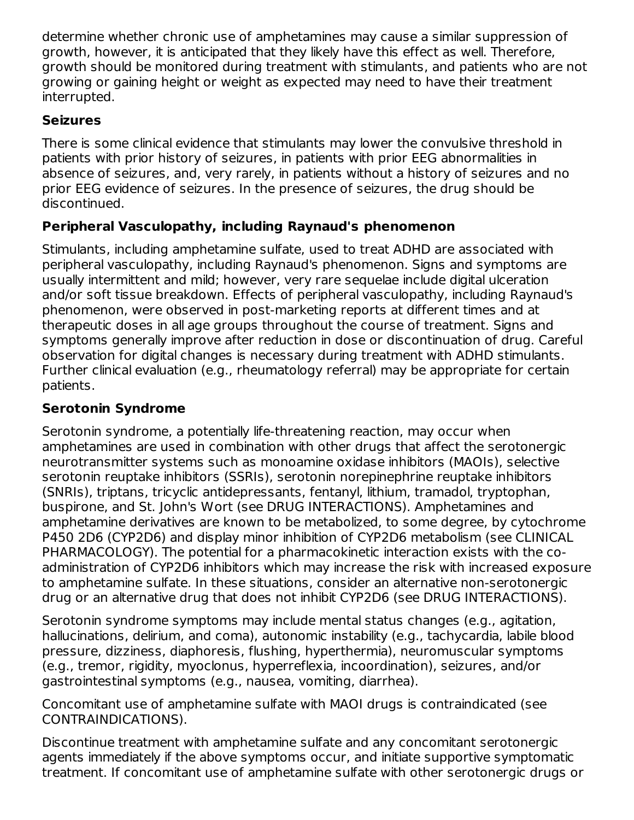determine whether chronic use of amphetamines may cause a similar suppression of growth, however, it is anticipated that they likely have this effect as well. Therefore, growth should be monitored during treatment with stimulants, and patients who are not growing or gaining height or weight as expected may need to have their treatment interrupted.

### **Seizures**

There is some clinical evidence that stimulants may lower the convulsive threshold in patients with prior history of seizures, in patients with prior EEG abnormalities in absence of seizures, and, very rarely, in patients without a history of seizures and no prior EEG evidence of seizures. In the presence of seizures, the drug should be discontinued.

## **Peripheral Vasculopathy, including Raynaud's phenomenon**

Stimulants, including amphetamine sulfate, used to treat ADHD are associated with peripheral vasculopathy, including Raynaud's phenomenon. Signs and symptoms are usually intermittent and mild; however, very rare sequelae include digital ulceration and/or soft tissue breakdown. Effects of peripheral vasculopathy, including Raynaud's phenomenon, were observed in post-marketing reports at different times and at therapeutic doses in all age groups throughout the course of treatment. Signs and symptoms generally improve after reduction in dose or discontinuation of drug. Careful observation for digital changes is necessary during treatment with ADHD stimulants. Further clinical evaluation (e.g., rheumatology referral) may be appropriate for certain patients.

## **Serotonin Syndrome**

Serotonin syndrome, a potentially life-threatening reaction, may occur when amphetamines are used in combination with other drugs that affect the serotonergic neurotransmitter systems such as monoamine oxidase inhibitors (MAOIs), selective serotonin reuptake inhibitors (SSRIs), serotonin norepinephrine reuptake inhibitors (SNRIs), triptans, tricyclic antidepressants, fentanyl, lithium, tramadol, tryptophan, buspirone, and St. John's Wort (see DRUG INTERACTIONS). Amphetamines and amphetamine derivatives are known to be metabolized, to some degree, by cytochrome P450 2D6 (CYP2D6) and display minor inhibition of CYP2D6 metabolism (see CLINICAL PHARMACOLOGY). The potential for a pharmacokinetic interaction exists with the coadministration of CYP2D6 inhibitors which may increase the risk with increased exposure to amphetamine sulfate. In these situations, consider an alternative non-serotonergic drug or an alternative drug that does not inhibit CYP2D6 (see DRUG INTERACTIONS).

Serotonin syndrome symptoms may include mental status changes (e.g., agitation, hallucinations, delirium, and coma), autonomic instability (e.g., tachycardia, labile blood pressure, dizziness, diaphoresis, flushing, hyperthermia), neuromuscular symptoms (e.g., tremor, rigidity, myoclonus, hyperreflexia, incoordination), seizures, and/or gastrointestinal symptoms (e.g., nausea, vomiting, diarrhea).

Concomitant use of amphetamine sulfate with MAOI drugs is contraindicated (see CONTRAINDICATIONS).

Discontinue treatment with amphetamine sulfate and any concomitant serotonergic agents immediately if the above symptoms occur, and initiate supportive symptomatic treatment. If concomitant use of amphetamine sulfate with other serotonergic drugs or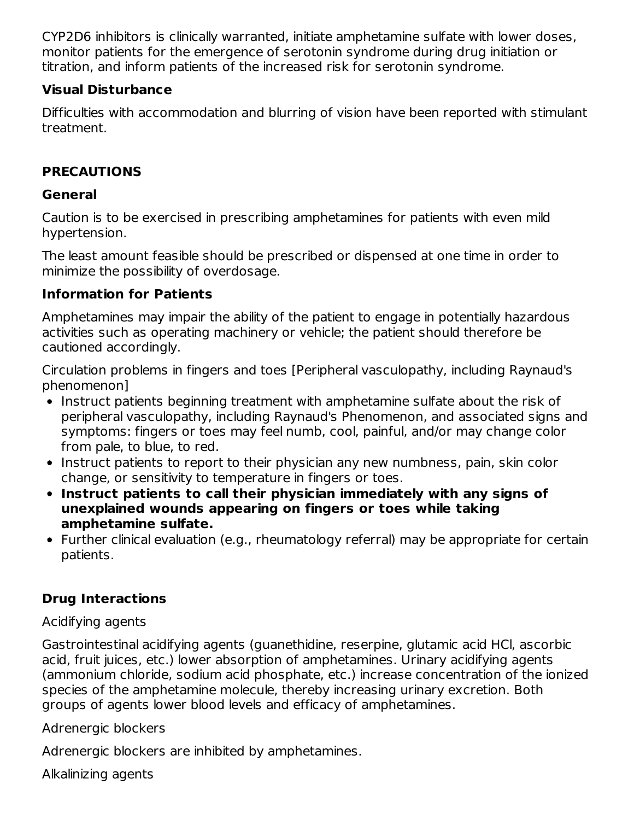CYP2D6 inhibitors is clinically warranted, initiate amphetamine sulfate with lower doses, monitor patients for the emergence of serotonin syndrome during drug initiation or titration, and inform patients of the increased risk for serotonin syndrome.

### **Visual Disturbance**

Difficulties with accommodation and blurring of vision have been reported with stimulant treatment.

### **PRECAUTIONS**

#### **General**

Caution is to be exercised in prescribing amphetamines for patients with even mild hypertension.

The least amount feasible should be prescribed or dispensed at one time in order to minimize the possibility of overdosage.

### **Information for Patients**

Amphetamines may impair the ability of the patient to engage in potentially hazardous activities such as operating machinery or vehicle; the patient should therefore be cautioned accordingly.

Circulation problems in fingers and toes [Peripheral vasculopathy, including Raynaud's phenomenon]

- Instruct patients beginning treatment with amphetamine sulfate about the risk of peripheral vasculopathy, including Raynaud's Phenomenon, and associated signs and symptoms: fingers or toes may feel numb, cool, painful, and/or may change color from pale, to blue, to red.
- Instruct patients to report to their physician any new numbness, pain, skin color change, or sensitivity to temperature in fingers or toes.
- **Instruct patients to call their physician immediately with any signs of unexplained wounds appearing on fingers or toes while taking amphetamine sulfate.**
- Further clinical evaluation (e.g., rheumatology referral) may be appropriate for certain patients.

## **Drug Interactions**

### Acidifying agents

Gastrointestinal acidifying agents (guanethidine, reserpine, glutamic acid HCl, ascorbic acid, fruit juices, etc.) lower absorption of amphetamines. Urinary acidifying agents (ammonium chloride, sodium acid phosphate, etc.) increase concentration of the ionized species of the amphetamine molecule, thereby increasing urinary excretion. Both groups of agents lower blood levels and efficacy of amphetamines.

### Adrenergic blockers

Adrenergic blockers are inhibited by amphetamines.

Alkalinizing agents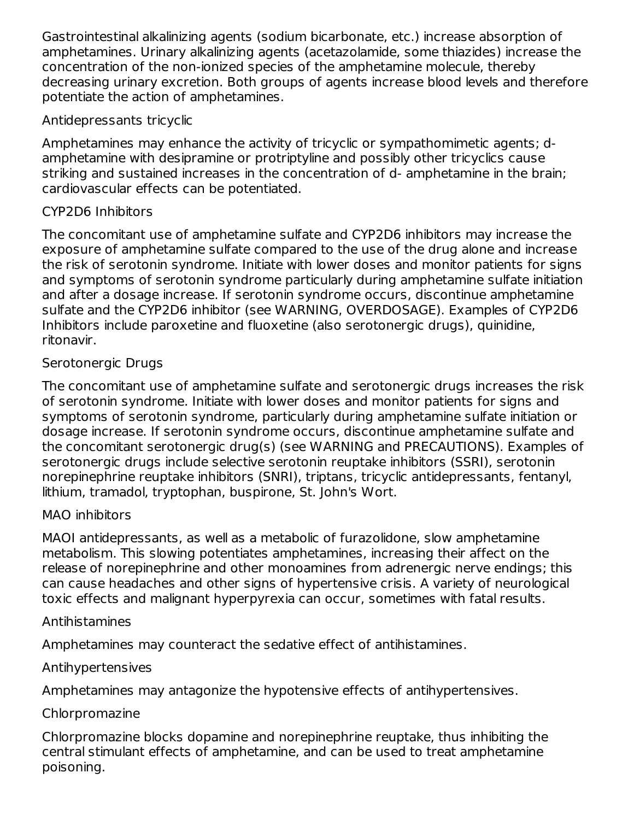Gastrointestinal alkalinizing agents (sodium bicarbonate, etc.) increase absorption of amphetamines. Urinary alkalinizing agents (acetazolamide, some thiazides) increase the concentration of the non-ionized species of the amphetamine molecule, thereby decreasing urinary excretion. Both groups of agents increase blood levels and therefore potentiate the action of amphetamines.

Antidepressants tricyclic

Amphetamines may enhance the activity of tricyclic or sympathomimetic agents; damphetamine with desipramine or protriptyline and possibly other tricyclics cause striking and sustained increases in the concentration of d- amphetamine in the brain; cardiovascular effects can be potentiated.

### CYP2D6 Inhibitors

The concomitant use of amphetamine sulfate and CYP2D6 inhibitors may increase the exposure of amphetamine sulfate compared to the use of the drug alone and increase the risk of serotonin syndrome. Initiate with lower doses and monitor patients for signs and symptoms of serotonin syndrome particularly during amphetamine sulfate initiation and after a dosage increase. If serotonin syndrome occurs, discontinue amphetamine sulfate and the CYP2D6 inhibitor (see WARNING, OVERDOSAGE). Examples of CYP2D6 Inhibitors include paroxetine and fluoxetine (also serotonergic drugs), quinidine, ritonavir.

## Serotonergic Drugs

The concomitant use of amphetamine sulfate and serotonergic drugs increases the risk of serotonin syndrome. Initiate with lower doses and monitor patients for signs and symptoms of serotonin syndrome, particularly during amphetamine sulfate initiation or dosage increase. If serotonin syndrome occurs, discontinue amphetamine sulfate and the concomitant serotonergic drug(s) (see WARNING and PRECAUTIONS). Examples of serotonergic drugs include selective serotonin reuptake inhibitors (SSRI), serotonin norepinephrine reuptake inhibitors (SNRI), triptans, tricyclic antidepressants, fentanyl, lithium, tramadol, tryptophan, buspirone, St. John's Wort.

### MAO inhibitors

MAOI antidepressants, as well as a metabolic of furazolidone, slow amphetamine metabolism. This slowing potentiates amphetamines, increasing their affect on the release of norepinephrine and other monoamines from adrenergic nerve endings; this can cause headaches and other signs of hypertensive crisis. A variety of neurological toxic effects and malignant hyperpyrexia can occur, sometimes with fatal results.

### Antihistamines

Amphetamines may counteract the sedative effect of antihistamines.

## Antihypertensives

Amphetamines may antagonize the hypotensive effects of antihypertensives.

### Chlorpromazine

Chlorpromazine blocks dopamine and norepinephrine reuptake, thus inhibiting the central stimulant effects of amphetamine, and can be used to treat amphetamine poisoning.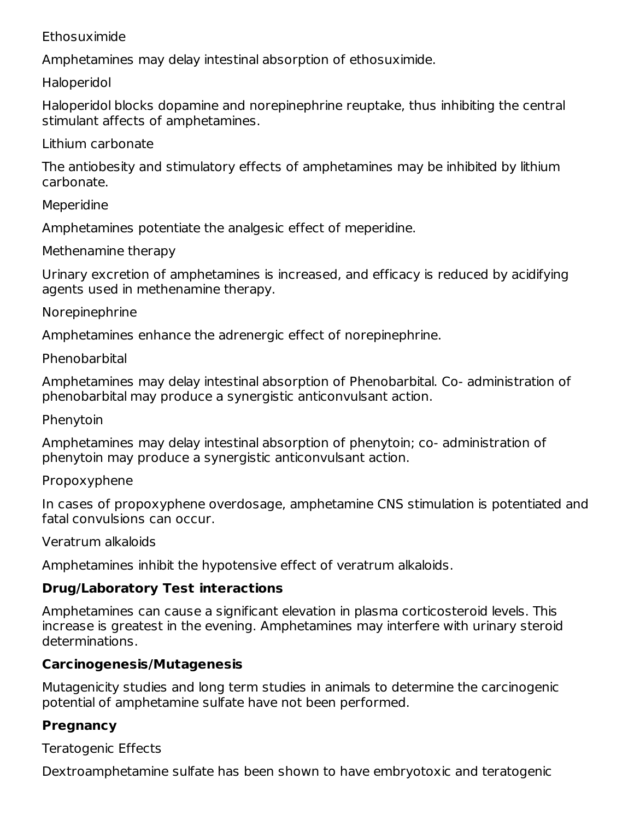#### Ethosuximide

Amphetamines may delay intestinal absorption of ethosuximide.

Haloperidol

Haloperidol blocks dopamine and norepinephrine reuptake, thus inhibiting the central stimulant affects of amphetamines.

Lithium carbonate

The antiobesity and stimulatory effects of amphetamines may be inhibited by lithium carbonate.

**Meperidine** 

Amphetamines potentiate the analgesic effect of meperidine.

Methenamine therapy

Urinary excretion of amphetamines is increased, and efficacy is reduced by acidifying agents used in methenamine therapy.

#### Norepinephrine

Amphetamines enhance the adrenergic effect of norepinephrine.

Phenobarbital

Amphetamines may delay intestinal absorption of Phenobarbital. Co- administration of phenobarbital may produce a synergistic anticonvulsant action.

#### Phenytoin

Amphetamines may delay intestinal absorption of phenytoin; co- administration of phenytoin may produce a synergistic anticonvulsant action.

#### Propoxyphene

In cases of propoxyphene overdosage, amphetamine CNS stimulation is potentiated and fatal convulsions can occur.

Veratrum alkaloids

Amphetamines inhibit the hypotensive effect of veratrum alkaloids.

### **Drug/Laboratory Test interactions**

Amphetamines can cause a significant elevation in plasma corticosteroid levels. This increase is greatest in the evening. Amphetamines may interfere with urinary steroid determinations.

### **Carcinogenesis/Mutagenesis**

Mutagenicity studies and long term studies in animals to determine the carcinogenic potential of amphetamine sulfate have not been performed.

#### **Pregnancy**

Teratogenic Effects

Dextroamphetamine sulfate has been shown to have embryotoxic and teratogenic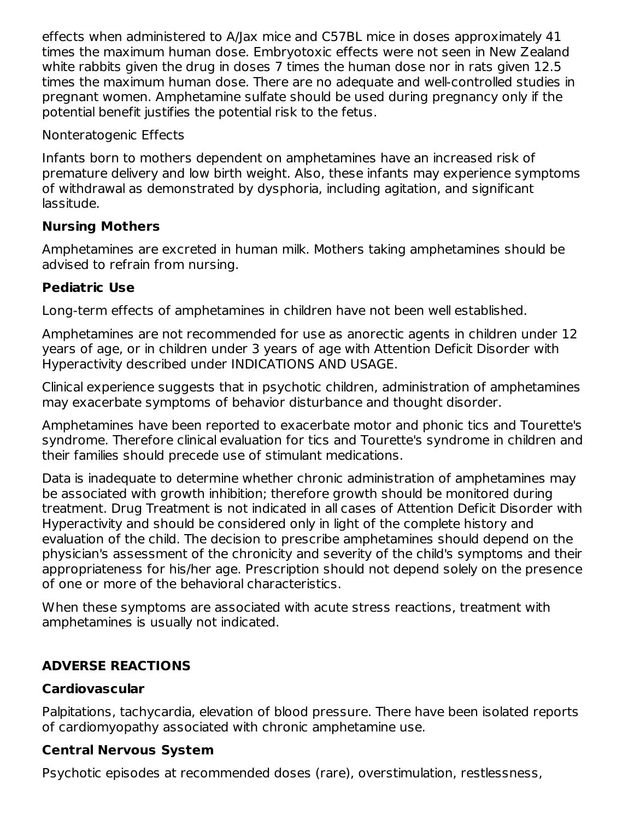effects when administered to A/Jax mice and C57BL mice in doses approximately 41 times the maximum human dose. Embryotoxic effects were not seen in New Zealand white rabbits given the drug in doses 7 times the human dose nor in rats given 12.5 times the maximum human dose. There are no adequate and well-controlled studies in pregnant women. Amphetamine sulfate should be used during pregnancy only if the potential benefit justifies the potential risk to the fetus.

Nonteratogenic Effects

Infants born to mothers dependent on amphetamines have an increased risk of premature delivery and low birth weight. Also, these infants may experience symptoms of withdrawal as demonstrated by dysphoria, including agitation, and significant lassitude.

## **Nursing Mothers**

Amphetamines are excreted in human milk. Mothers taking amphetamines should be advised to refrain from nursing.

### **Pediatric Use**

Long-term effects of amphetamines in children have not been well established.

Amphetamines are not recommended for use as anorectic agents in children under 12 years of age, or in children under 3 years of age with Attention Deficit Disorder with Hyperactivity described under INDICATIONS AND USAGE.

Clinical experience suggests that in psychotic children, administration of amphetamines may exacerbate symptoms of behavior disturbance and thought disorder.

Amphetamines have been reported to exacerbate motor and phonic tics and Tourette's syndrome. Therefore clinical evaluation for tics and Tourette's syndrome in children and their families should precede use of stimulant medications.

Data is inadequate to determine whether chronic administration of amphetamines may be associated with growth inhibition; therefore growth should be monitored during treatment. Drug Treatment is not indicated in all cases of Attention Deficit Disorder with Hyperactivity and should be considered only in light of the complete history and evaluation of the child. The decision to prescribe amphetamines should depend on the physician's assessment of the chronicity and severity of the child's symptoms and their appropriateness for his/her age. Prescription should not depend solely on the presence of one or more of the behavioral characteristics.

When these symptoms are associated with acute stress reactions, treatment with amphetamines is usually not indicated.

## **ADVERSE REACTIONS**

### **Cardiovascular**

Palpitations, tachycardia, elevation of blood pressure. There have been isolated reports of cardiomyopathy associated with chronic amphetamine use.

## **Central Nervous System**

Psychotic episodes at recommended doses (rare), overstimulation, restlessness,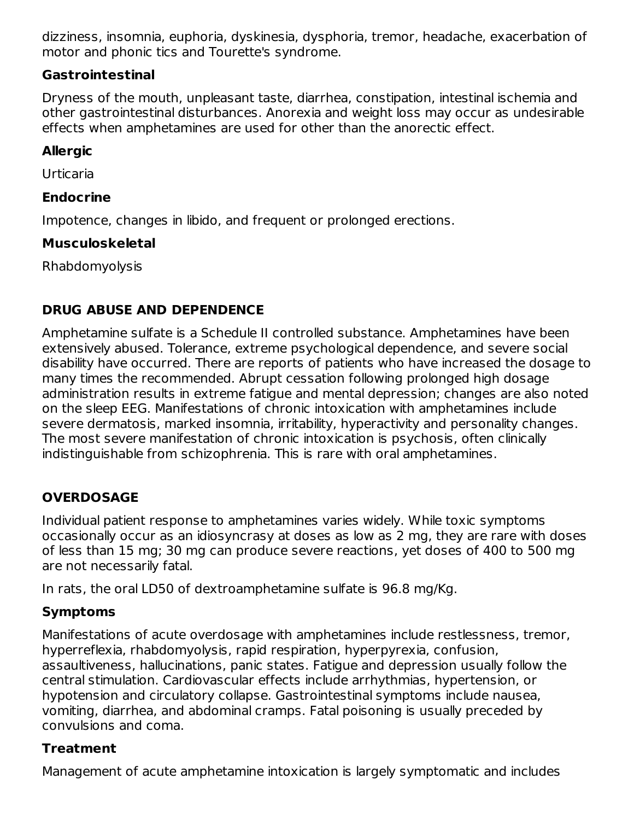dizziness, insomnia, euphoria, dyskinesia, dysphoria, tremor, headache, exacerbation of motor and phonic tics and Tourette's syndrome.

#### **Gastrointestinal**

Dryness of the mouth, unpleasant taste, diarrhea, constipation, intestinal ischemia and other gastrointestinal disturbances. Anorexia and weight loss may occur as undesirable effects when amphetamines are used for other than the anorectic effect.

#### **Allergic**

Urticaria

#### **Endocrine**

Impotence, changes in libido, and frequent or prolonged erections.

#### **Musculoskeletal**

Rhabdomyolysis

#### **DRUG ABUSE AND DEPENDENCE**

Amphetamine sulfate is a Schedule II controlled substance. Amphetamines have been extensively abused. Tolerance, extreme psychological dependence, and severe social disability have occurred. There are reports of patients who have increased the dosage to many times the recommended. Abrupt cessation following prolonged high dosage administration results in extreme fatigue and mental depression; changes are also noted on the sleep EEG. Manifestations of chronic intoxication with amphetamines include severe dermatosis, marked insomnia, irritability, hyperactivity and personality changes. The most severe manifestation of chronic intoxication is psychosis, often clinically indistinguishable from schizophrenia. This is rare with oral amphetamines.

### **OVERDOSAGE**

Individual patient response to amphetamines varies widely. While toxic symptoms occasionally occur as an idiosyncrasy at doses as low as 2 mg, they are rare with doses of less than 15 mg; 30 mg can produce severe reactions, yet doses of 400 to 500 mg are not necessarily fatal.

In rats, the oral LD50 of dextroamphetamine sulfate is 96.8 mg/Kg.

### **Symptoms**

Manifestations of acute overdosage with amphetamines include restlessness, tremor, hyperreflexia, rhabdomyolysis, rapid respiration, hyperpyrexia, confusion, assaultiveness, hallucinations, panic states. Fatigue and depression usually follow the central stimulation. Cardiovascular effects include arrhythmias, hypertension, or hypotension and circulatory collapse. Gastrointestinal symptoms include nausea, vomiting, diarrhea, and abdominal cramps. Fatal poisoning is usually preceded by convulsions and coma.

### **Treatment**

Management of acute amphetamine intoxication is largely symptomatic and includes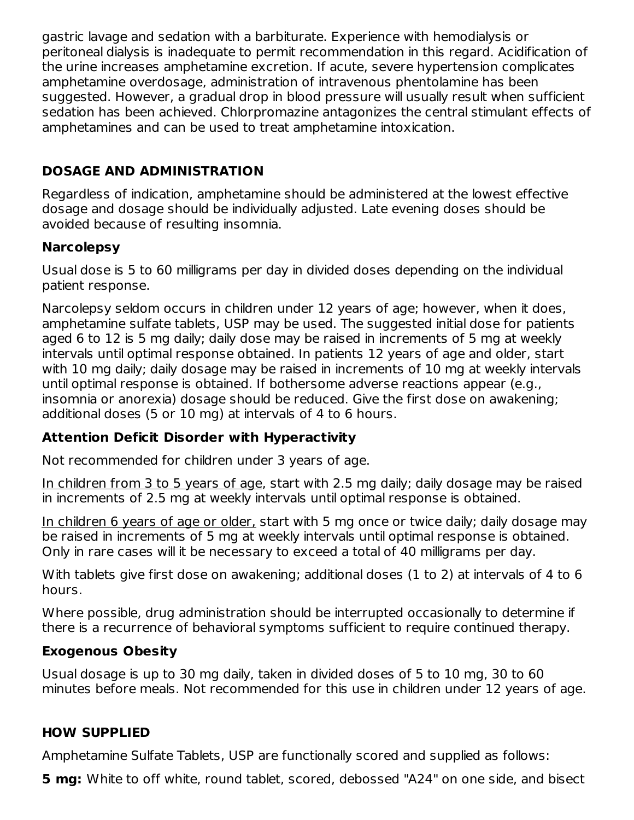gastric lavage and sedation with a barbiturate. Experience with hemodialysis or peritoneal dialysis is inadequate to permit recommendation in this regard. Acidification of the urine increases amphetamine excretion. If acute, severe hypertension complicates amphetamine overdosage, administration of intravenous phentolamine has been suggested. However, a gradual drop in blood pressure will usually result when sufficient sedation has been achieved. Chlorpromazine antagonizes the central stimulant effects of amphetamines and can be used to treat amphetamine intoxication.

### **DOSAGE AND ADMINISTRATION**

Regardless of indication, amphetamine should be administered at the lowest effective dosage and dosage should be individually adjusted. Late evening doses should be avoided because of resulting insomnia.

#### **Narcolepsy**

Usual dose is 5 to 60 milligrams per day in divided doses depending on the individual patient response.

Narcolepsy seldom occurs in children under 12 years of age; however, when it does, amphetamine sulfate tablets, USP may be used. The suggested initial dose for patients aged 6 to 12 is 5 mg daily; daily dose may be raised in increments of 5 mg at weekly intervals until optimal response obtained. In patients 12 years of age and older, start with 10 mg daily; daily dosage may be raised in increments of 10 mg at weekly intervals until optimal response is obtained. If bothersome adverse reactions appear (e.g., insomnia or anorexia) dosage should be reduced. Give the first dose on awakening; additional doses (5 or 10 mg) at intervals of 4 to 6 hours.

### **Attention Deficit Disorder with Hyperactivity**

Not recommended for children under 3 years of age.

In children from 3 to 5 years of age, start with 2.5 mg daily; daily dosage may be raised in increments of 2.5 mg at weekly intervals until optimal response is obtained.

In children 6 years of age or older, start with 5 mg once or twice daily; daily dosage may be raised in increments of 5 mg at weekly intervals until optimal response is obtained. Only in rare cases will it be necessary to exceed a total of 40 milligrams per day.

With tablets give first dose on awakening; additional doses (1 to 2) at intervals of 4 to 6 hours.

Where possible, drug administration should be interrupted occasionally to determine if there is a recurrence of behavioral symptoms sufficient to require continued therapy.

### **Exogenous Obesity**

Usual dosage is up to 30 mg daily, taken in divided doses of 5 to 10 mg, 30 to 60 minutes before meals. Not recommended for this use in children under 12 years of age.

## **HOW SUPPLIED**

Amphetamine Sulfate Tablets, USP are functionally scored and supplied as follows:

**5 mg:** White to off white, round tablet, scored, debossed "A24" on one side, and bisect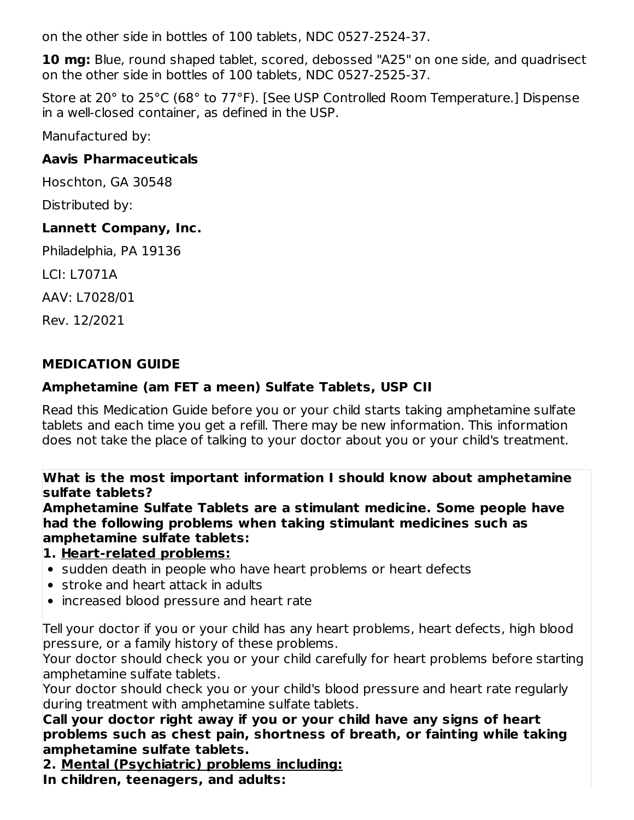on the other side in bottles of 100 tablets, NDC 0527-2524-37.

**10 mg:** Blue, round shaped tablet, scored, debossed "A25" on one side, and quadrisect on the other side in bottles of 100 tablets, NDC 0527-2525-37.

Store at 20° to 25°C (68° to 77°F). [See USP Controlled Room Temperature.] Dispense in a well-closed container, as defined in the USP.

Manufactured by:

### **Aavis Pharmaceuticals**

Hoschton, GA 30548

Distributed by:

### **Lannett Company, Inc.**

Philadelphia, PA 19136

LCI: L7071A

AAV: L7028/01

Rev. 12/2021

## **MEDICATION GUIDE**

## **Amphetamine (am FET a meen) Sulfate Tablets, USP CII**

Read this Medication Guide before you or your child starts taking amphetamine sulfate tablets and each time you get a refill. There may be new information. This information does not take the place of talking to your doctor about you or your child's treatment.

**What is the most important information I should know about amphetamine sulfate tablets?**

**Amphetamine Sulfate Tablets are a stimulant medicine. Some people have had the following problems when taking stimulant medicines such as amphetamine sulfate tablets:**

## **1. Heart-related problems:**

- sudden death in people who have heart problems or heart defects
- stroke and heart attack in adults
- increased blood pressure and heart rate

Tell your doctor if you or your child has any heart problems, heart defects, high blood pressure, or a family history of these problems.

Your doctor should check you or your child carefully for heart problems before starting amphetamine sulfate tablets.

Your doctor should check you or your child's blood pressure and heart rate regularly during treatment with amphetamine sulfate tablets.

**Call your doctor right away if you or your child have any signs of heart problems such as chest pain, shortness of breath, or fainting while taking amphetamine sulfate tablets.**

**2. Mental (Psychiatric) problems including:**

**In children, teenagers, and adults:**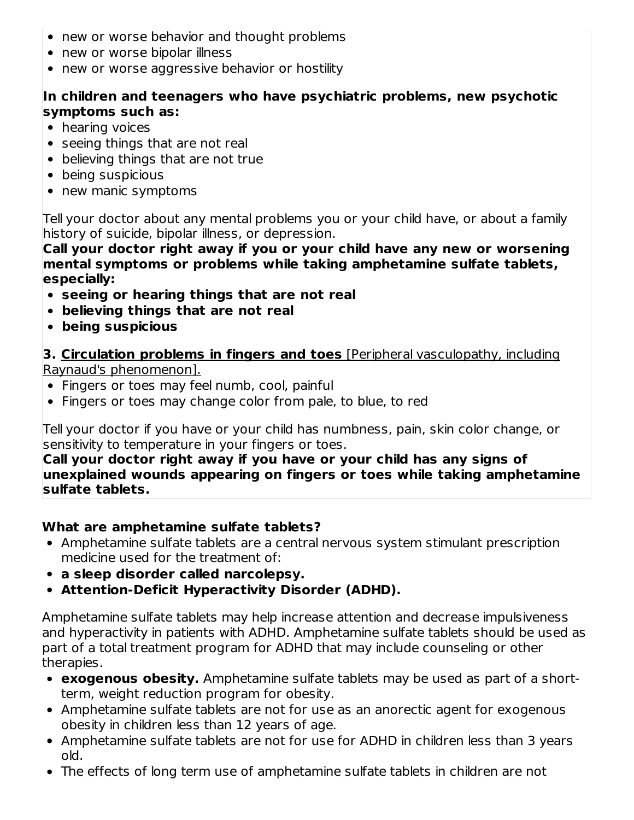- new or worse behavior and thought problems
- new or worse bipolar illness
- new or worse aggressive behavior or hostility

#### **In children and teenagers who have psychiatric problems, new psychotic symptoms such as:**

- hearing voices
- seeing things that are not real
- believing things that are not true
- being suspicious
- new manic symptoms

Tell your doctor about any mental problems you or your child have, or about a family history of suicide, bipolar illness, or depression.

**Call your doctor right away if you or your child have any new or worsening mental symptoms or problems while taking amphetamine sulfate tablets, especially:**

- **seeing or hearing things that are not real**
- **believing things that are not real**
- **being suspicious**

**3. Circulation problems in fingers and toes** [Peripheral vasculopathy, including Raynaud's phenomenon].

- Fingers or toes may feel numb, cool, painful
- Fingers or toes may change color from pale, to blue, to red

Tell your doctor if you have or your child has numbness, pain, skin color change, or sensitivity to temperature in your fingers or toes.

**Call your doctor right away if you have or your child has any signs of unexplained wounds appearing on fingers or toes while taking amphetamine sulfate tablets.**

## **What are amphetamine sulfate tablets?**

- Amphetamine sulfate tablets are a central nervous system stimulant prescription medicine used for the treatment of:
- **a sleep disorder called narcolepsy.**
- **Attention-Deficit Hyperactivity Disorder (ADHD).**

Amphetamine sulfate tablets may help increase attention and decrease impulsiveness and hyperactivity in patients with ADHD. Amphetamine sulfate tablets should be used as part of a total treatment program for ADHD that may include counseling or other therapies.

- **exogenous obesity.** Amphetamine sulfate tablets may be used as part of a shortterm, weight reduction program for obesity.
- Amphetamine sulfate tablets are not for use as an anorectic agent for exogenous obesity in children less than 12 years of age.
- Amphetamine sulfate tablets are not for use for ADHD in children less than 3 years old.
- The effects of long term use of amphetamine sulfate tablets in children are not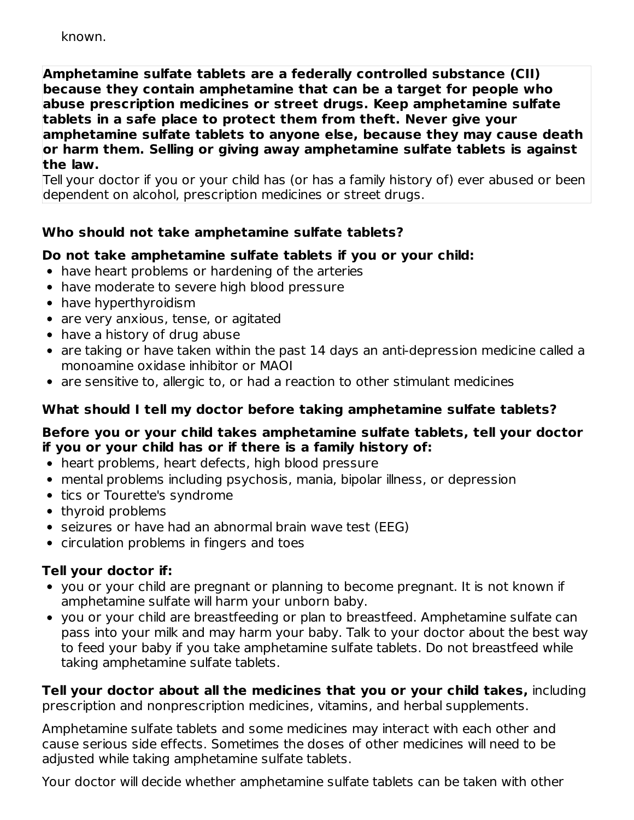known.

**Amphetamine sulfate tablets are a federally controlled substance (CII) because they contain amphetamine that can be a target for people who abuse prescription medicines or street drugs. Keep amphetamine sulfate tablets in a safe place to protect them from theft. Never give your amphetamine sulfate tablets to anyone else, because they may cause death or harm them. Selling or giving away amphetamine sulfate tablets is against the law.**

Tell your doctor if you or your child has (or has a family history of) ever abused or been dependent on alcohol, prescription medicines or street drugs.

#### **Who should not take amphetamine sulfate tablets?**

#### **Do not take amphetamine sulfate tablets if you or your child:**

- have heart problems or hardening of the arteries
- have moderate to severe high blood pressure
- have hyperthyroidism
- are very anxious, tense, or agitated
- have a history of drug abuse
- are taking or have taken within the past 14 days an anti-depression medicine called a monoamine oxidase inhibitor or MAOI
- are sensitive to, allergic to, or had a reaction to other stimulant medicines

#### **What should I tell my doctor before taking amphetamine sulfate tablets?**

#### **Before you or your child takes amphetamine sulfate tablets, tell your doctor if you or your child has or if there is a family history of:**

- heart problems, heart defects, high blood pressure
- mental problems including psychosis, mania, bipolar illness, or depression
- tics or Tourette's syndrome
- thyroid problems
- seizures or have had an abnormal brain wave test (EEG)
- circulation problems in fingers and toes

#### **Tell your doctor if:**

- you or your child are pregnant or planning to become pregnant. It is not known if amphetamine sulfate will harm your unborn baby.
- you or your child are breastfeeding or plan to breastfeed. Amphetamine sulfate can pass into your milk and may harm your baby. Talk to your doctor about the best way to feed your baby if you take amphetamine sulfate tablets. Do not breastfeed while taking amphetamine sulfate tablets.

**Tell your doctor about all the medicines that you or your child takes,** including prescription and nonprescription medicines, vitamins, and herbal supplements.

Amphetamine sulfate tablets and some medicines may interact with each other and cause serious side effects. Sometimes the doses of other medicines will need to be adjusted while taking amphetamine sulfate tablets.

Your doctor will decide whether amphetamine sulfate tablets can be taken with other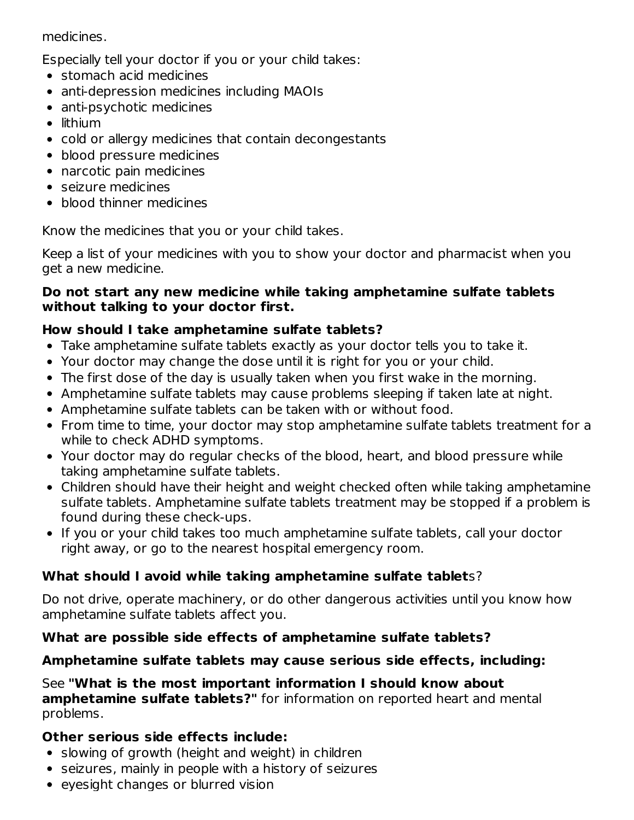medicines.

Especially tell your doctor if you or your child takes:

- stomach acid medicines
- anti-depression medicines including MAOIs
- anti-psychotic medicines
- $\bullet$  lithium
- cold or allergy medicines that contain decongestants
- blood pressure medicines
- narcotic pain medicines
- seizure medicines
- blood thinner medicines

Know the medicines that you or your child takes.

Keep a list of your medicines with you to show your doctor and pharmacist when you get a new medicine.

#### **Do not start any new medicine while taking amphetamine sulfate tablets without talking to your doctor first.**

#### **How should I take amphetamine sulfate tablets?**

- Take amphetamine sulfate tablets exactly as your doctor tells you to take it.
- Your doctor may change the dose until it is right for you or your child.
- The first dose of the day is usually taken when you first wake in the morning.
- Amphetamine sulfate tablets may cause problems sleeping if taken late at night.
- Amphetamine sulfate tablets can be taken with or without food.
- From time to time, your doctor may stop amphetamine sulfate tablets treatment for a while to check ADHD symptoms.
- Your doctor may do regular checks of the blood, heart, and blood pressure while taking amphetamine sulfate tablets.
- Children should have their height and weight checked often while taking amphetamine sulfate tablets. Amphetamine sulfate tablets treatment may be stopped if a problem is found during these check-ups.
- If you or your child takes too much amphetamine sulfate tablets, call your doctor right away, or go to the nearest hospital emergency room.

## **What should I avoid while taking amphetamine sulfate tablet**s?

Do not drive, operate machinery, or do other dangerous activities until you know how amphetamine sulfate tablets affect you.

### **What are possible side effects of amphetamine sulfate tablets?**

### **Amphetamine sulfate tablets may cause serious side effects, including:**

See **"What is the most important information I should know about amphetamine sulfate tablets?"** for information on reported heart and mental problems.

### **Other serious side effects include:**

- slowing of growth (height and weight) in children
- seizures, mainly in people with a history of seizures
- eyesight changes or blurred vision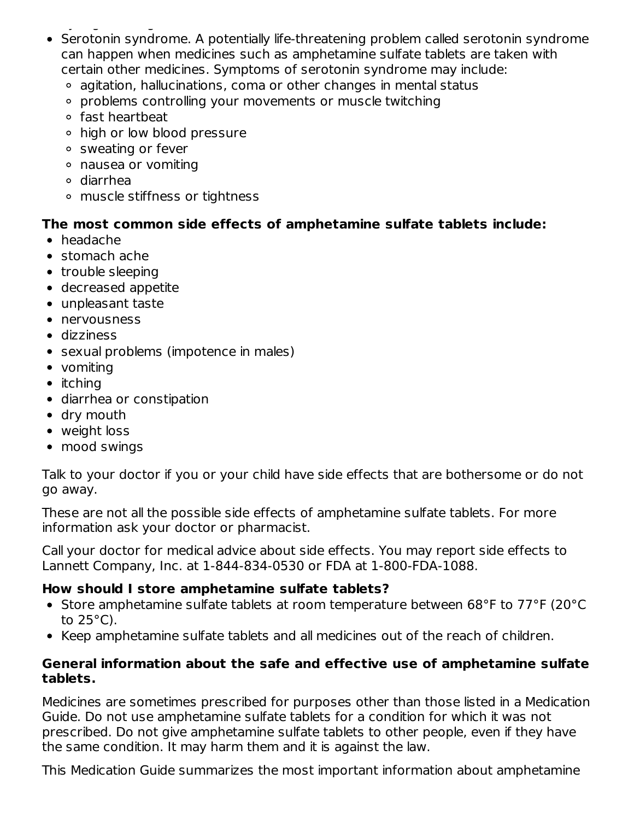- eyesight changes or blurred vision Serotonin syndrome. A potentially life-threatening problem called serotonin syndrome  $\bullet$ can happen when medicines such as amphetamine sulfate tablets are taken with certain other medicines. Symptoms of serotonin syndrome may include:
	- agitation, hallucinations, coma or other changes in mental status
	- problems controlling your movements or muscle twitching
	- fast heartbeat
	- high or low blood pressure
	- o sweating or fever
	- nausea or vomiting
	- diarrhea
	- muscle stiffness or tightness

## **The most common side effects of amphetamine sulfate tablets include:**

- headache
- stomach ache
- trouble sleeping
- decreased appetite
- unpleasant taste
- nervousness
- dizziness
- sexual problems (impotence in males)
- vomiting
- $\bullet$  itching
- diarrhea or constipation
- dry mouth
- weight loss
- mood swings

Talk to your doctor if you or your child have side effects that are bothersome or do not go away.

These are not all the possible side effects of amphetamine sulfate tablets. For more information ask your doctor or pharmacist.

Call your doctor for medical advice about side effects. You may report side effects to Lannett Company, Inc. at 1-844-834-0530 or FDA at 1-800-FDA-1088.

## **How should I store amphetamine sulfate tablets?**

- Store amphetamine sulfate tablets at room temperature between 68°F to 77°F (20°C to 25°C).
- Keep amphetamine sulfate tablets and all medicines out of the reach of children.

### **General information about the safe and effective use of amphetamine sulfate tablets.**

Medicines are sometimes prescribed for purposes other than those listed in a Medication Guide. Do not use amphetamine sulfate tablets for a condition for which it was not prescribed. Do not give amphetamine sulfate tablets to other people, even if they have the same condition. It may harm them and it is against the law.

This Medication Guide summarizes the most important information about amphetamine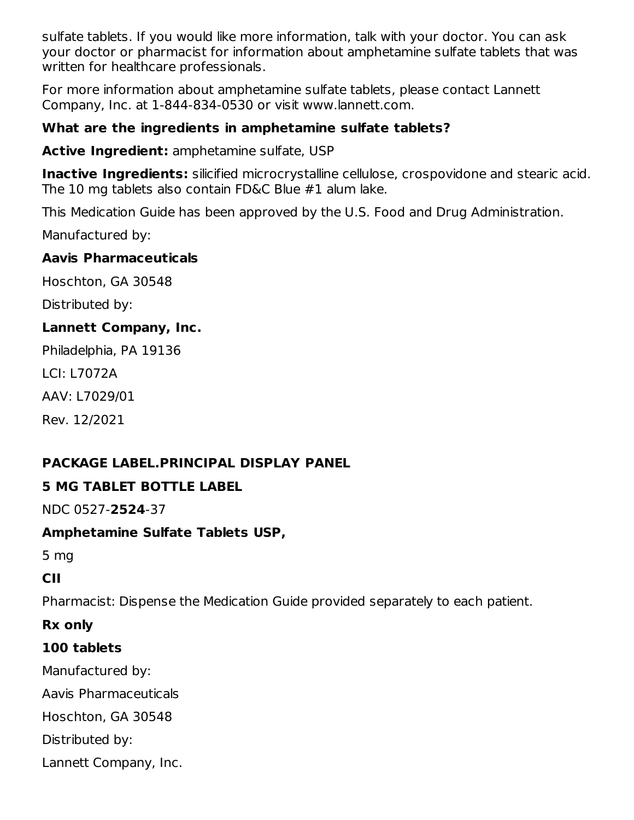sulfate tablets. If you would like more information, talk with your doctor. You can ask your doctor or pharmacist for information about amphetamine sulfate tablets that was written for healthcare professionals.

For more information about amphetamine sulfate tablets, please contact Lannett Company, Inc. at 1-844-834-0530 or visit www.lannett.com.

### **What are the ingredients in amphetamine sulfate tablets?**

**Active Ingredient:** amphetamine sulfate, USP

**Inactive Ingredients:** silicified microcrystalline cellulose, crospovidone and stearic acid. The 10 mg tablets also contain FD&C Blue #1 alum lake.

This Medication Guide has been approved by the U.S. Food and Drug Administration.

Manufactured by:

#### **Aavis Pharmaceuticals**

Hoschton, GA 30548

Distributed by:

#### **Lannett Company, Inc.**

Philadelphia, PA 19136

LCI: L7072A

AAV: L7029/01

Rev. 12/2021

### **PACKAGE LABEL.PRINCIPAL DISPLAY PANEL**

### **5 MG TABLET BOTTLE LABEL**

NDC 0527-**2524**-37

### **Amphetamine Sulfate Tablets USP,**

5 mg

**CII**

Pharmacist: Dispense the Medication Guide provided separately to each patient.

#### **Rx only**

### **100 tablets**

Manufactured by:

Aavis Pharmaceuticals

Hoschton, GA 30548

Distributed by:

Lannett Company, Inc.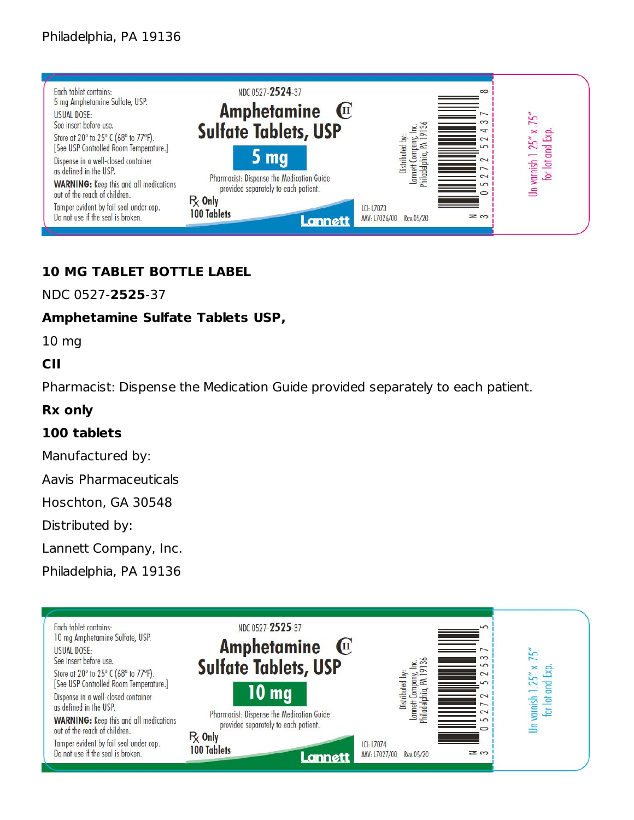### Philadelphia, PA 19136



#### **10 MG TABLET BOTTLE LABEL**

NDC 0527-**2525**-37

#### **Amphetamine Sulfate Tablets USP,**

10 mg

#### **CII**

Pharmacist: Dispense the Medication Guide provided separately to each patient.

#### **Rx only**

#### **100 tablets**

Manufactured by:

Aavis Pharmaceuticals

Hoschton, GA 30548

Distributed by:

Lannett Company, Inc.

Philadelphia, PA 19136

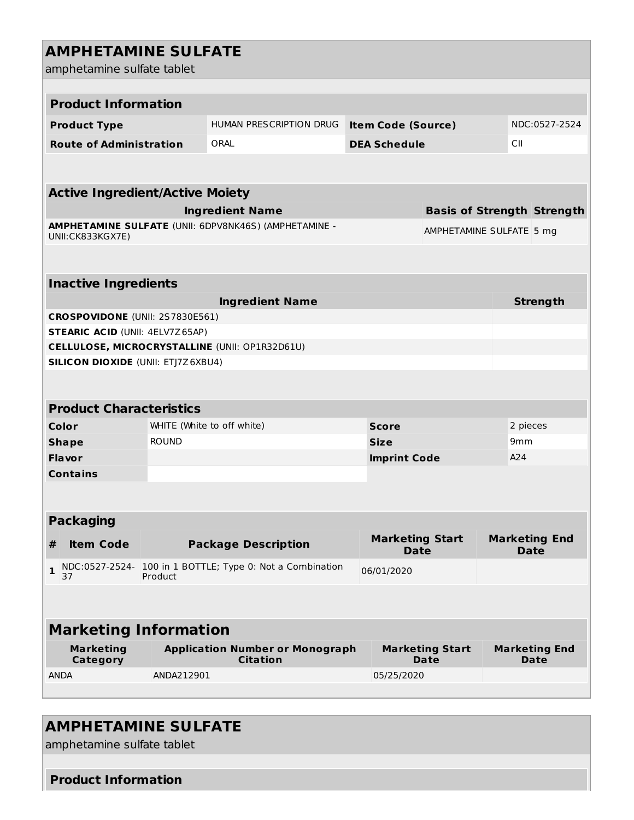| <b>AMPHETAMINE SULFATE</b><br>amphetamine sulfate tablet                  |                                                           |                                                |                                   |                                       |  |                                     |               |  |  |
|---------------------------------------------------------------------------|-----------------------------------------------------------|------------------------------------------------|-----------------------------------|---------------------------------------|--|-------------------------------------|---------------|--|--|
|                                                                           |                                                           |                                                |                                   |                                       |  |                                     |               |  |  |
| <b>Product Information</b>                                                |                                                           |                                                |                                   |                                       |  |                                     |               |  |  |
|                                                                           |                                                           |                                                |                                   |                                       |  |                                     |               |  |  |
| <b>Product Type</b>                                                       |                                                           | HUMAN PRESCRIPTION DRUG                        |                                   | <b>Item Code (Source)</b>             |  |                                     | NDC:0527-2524 |  |  |
| <b>Route of Administration</b>                                            |                                                           | ORAL                                           |                                   | <b>DEA Schedule</b>                   |  | CII                                 |               |  |  |
|                                                                           |                                                           |                                                |                                   |                                       |  |                                     |               |  |  |
| <b>Active Ingredient/Active Moiety</b>                                    |                                                           |                                                |                                   |                                       |  |                                     |               |  |  |
|                                                                           |                                                           |                                                | <b>Basis of Strength Strength</b> |                                       |  |                                     |               |  |  |
| AMPHETAMINE SULFATE (UNII: 6DPV8NK46S) (AMPHETAMINE -<br>UNII:CK833KGX7E) |                                                           | AMPHETAMINE SULFATE 5 mg                       |                                   |                                       |  |                                     |               |  |  |
|                                                                           |                                                           |                                                |                                   |                                       |  |                                     |               |  |  |
| <b>Inactive Ingredients</b>                                               |                                                           |                                                |                                   |                                       |  |                                     |               |  |  |
|                                                                           |                                                           | <b>Strength</b>                                |                                   |                                       |  |                                     |               |  |  |
| CROSPOVIDONE (UNII: 2S7830E561)                                           |                                                           |                                                |                                   |                                       |  |                                     |               |  |  |
| <b>STEARIC ACID (UNII: 4ELV7Z65AP)</b>                                    |                                                           |                                                |                                   |                                       |  |                                     |               |  |  |
|                                                                           |                                                           | CELLULOSE, MICROCRYSTALLINE (UNII: OP1R32D61U) |                                   |                                       |  |                                     |               |  |  |
| <b>SILICON DIOXIDE (UNII: ETJ7Z6XBU4)</b>                                 |                                                           |                                                |                                   |                                       |  |                                     |               |  |  |
|                                                                           |                                                           |                                                |                                   |                                       |  |                                     |               |  |  |
| <b>Product Characteristics</b>                                            |                                                           |                                                |                                   |                                       |  |                                     |               |  |  |
| Color                                                                     |                                                           | WHITE (White to off white)                     |                                   | <b>Score</b>                          |  | 2 pieces                            |               |  |  |
| <b>Shape</b>                                                              | <b>ROUND</b>                                              |                                                |                                   | <b>Size</b>                           |  | 9 <sub>mm</sub>                     |               |  |  |
| <b>Flavor</b>                                                             |                                                           |                                                |                                   | <b>Imprint Code</b>                   |  | A24                                 |               |  |  |
| <b>Contains</b>                                                           |                                                           |                                                |                                   |                                       |  |                                     |               |  |  |
|                                                                           |                                                           |                                                |                                   |                                       |  |                                     |               |  |  |
| <b>Packaging</b>                                                          |                                                           |                                                |                                   |                                       |  |                                     |               |  |  |
| <b>Item Code</b><br>#                                                     |                                                           | <b>Package Description</b>                     |                                   | <b>Marketing Start</b><br><b>Date</b> |  | <b>Marketing End</b><br><b>Date</b> |               |  |  |
| NDC:0527-2524-<br>$\mathbf{1}$<br>37                                      | Product                                                   | 100 in 1 BOTTLE; Type 0: Not a Combination     |                                   | 06/01/2020                            |  |                                     |               |  |  |
|                                                                           |                                                           |                                                |                                   |                                       |  |                                     |               |  |  |
| <b>Marketing Information</b>                                              |                                                           |                                                |                                   |                                       |  |                                     |               |  |  |
| <b>Marketing</b><br>Category                                              | <b>Application Number or Monograph</b><br><b>Citation</b> |                                                |                                   | <b>Marketing Start</b><br>Date        |  | <b>Marketing End</b><br>Date        |               |  |  |
| <b>ANDA</b>                                                               | ANDA212901                                                |                                                |                                   | 05/25/2020                            |  |                                     |               |  |  |
|                                                                           |                                                           |                                                |                                   |                                       |  |                                     |               |  |  |

# **AMPHETAMINE SULFATE**

amphetamine sulfate tablet

#### **Product Information**